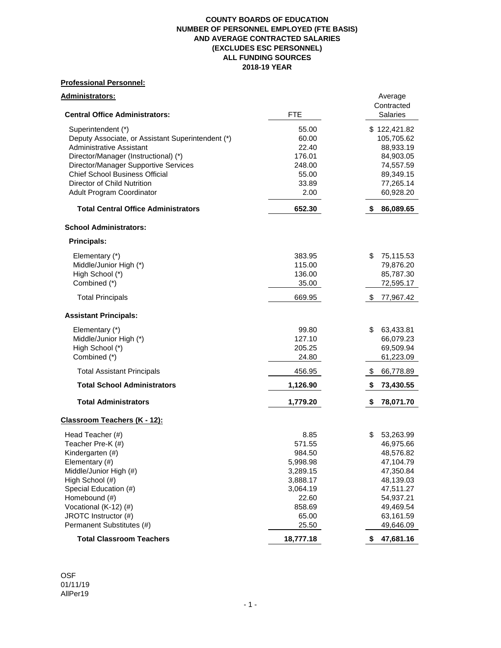#### **COUNTY BOARDS OF EDUCATION NUMBER OF PERSONNEL EMPLOYED (FTE BASIS) AND AVERAGE CONTRACTED SALARIES (EXCLUDES ESC PERSONNEL) ALL FUNDING SOURCES 2018-19 YEAR**

# **Professional Personnel:**

|           | Average                                                                                                                                                                                                                   |
|-----------|---------------------------------------------------------------------------------------------------------------------------------------------------------------------------------------------------------------------------|
|           | Contracted                                                                                                                                                                                                                |
|           | <b>Salaries</b>                                                                                                                                                                                                           |
|           | \$122,421.82                                                                                                                                                                                                              |
|           | 105,705.62                                                                                                                                                                                                                |
|           | 88,933.19                                                                                                                                                                                                                 |
|           | 84,903.05                                                                                                                                                                                                                 |
|           | 74,557.59                                                                                                                                                                                                                 |
|           | 89,349.15                                                                                                                                                                                                                 |
|           | 77,265.14                                                                                                                                                                                                                 |
| 2.00      | 60,928.20                                                                                                                                                                                                                 |
| 652.30    | \$<br>86,089.65                                                                                                                                                                                                           |
|           |                                                                                                                                                                                                                           |
|           |                                                                                                                                                                                                                           |
| 383.95    | \$<br>75,115.53                                                                                                                                                                                                           |
| 115.00    | 79,876.20                                                                                                                                                                                                                 |
| 136.00    | 85,787.30                                                                                                                                                                                                                 |
| 35.00     | 72,595.17                                                                                                                                                                                                                 |
| 669.95    | \$<br>77,967.42                                                                                                                                                                                                           |
|           |                                                                                                                                                                                                                           |
|           | \$<br>63,433.81                                                                                                                                                                                                           |
|           | 66,079.23                                                                                                                                                                                                                 |
|           | 69,509.94                                                                                                                                                                                                                 |
| 24.80     | 61,223.09                                                                                                                                                                                                                 |
| 456.95    | \$<br>66,778.89                                                                                                                                                                                                           |
| 1,126.90  | \$<br>73,430.55                                                                                                                                                                                                           |
| 1,779.20  | \$<br>78,071.70                                                                                                                                                                                                           |
|           |                                                                                                                                                                                                                           |
|           | 53,263.99<br>\$                                                                                                                                                                                                           |
|           | 46,975.66                                                                                                                                                                                                                 |
|           | 48,576.82                                                                                                                                                                                                                 |
|           |                                                                                                                                                                                                                           |
|           | 47,104.79<br>47,350.84                                                                                                                                                                                                    |
|           | 48,139.03                                                                                                                                                                                                                 |
|           | 47,511.27                                                                                                                                                                                                                 |
|           | 54,937.21                                                                                                                                                                                                                 |
|           | 49,469.54                                                                                                                                                                                                                 |
|           |                                                                                                                                                                                                                           |
|           | 63,161.59<br>49,646.09                                                                                                                                                                                                    |
| 18,777.18 | 47,681.16                                                                                                                                                                                                                 |
|           | <b>FTE</b><br>55.00<br>60.00<br>22.40<br>176.01<br>248.00<br>55.00<br>33.89<br>99.80<br>127.10<br>205.25<br>8.85<br>571.55<br>984.50<br>5,998.98<br>3,289.15<br>3,888.17<br>3,064.19<br>22.60<br>858.69<br>65.00<br>25.50 |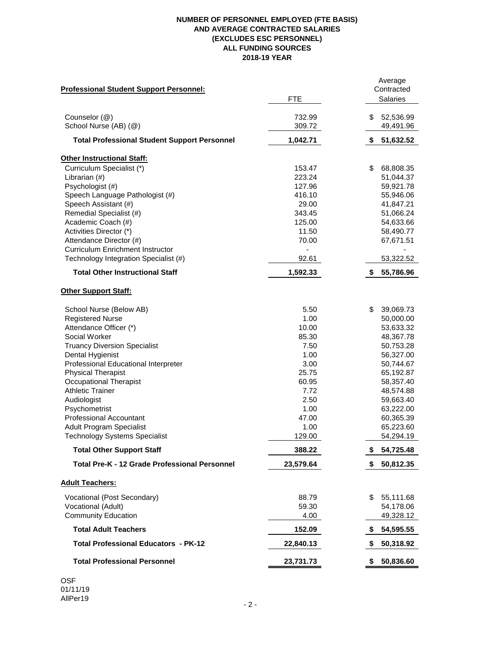# **NUMBER OF PERSONNEL EMPLOYED (FTE BASIS) AND AVERAGE CONTRACTED SALARIES (EXCLUDES ESC PERSONNEL) ALL FUNDING SOURCES 2018-19 YEAR**

| <b>Professional Student Support Personnel:</b>       |            | Average<br>Contracted |
|------------------------------------------------------|------------|-----------------------|
|                                                      | <b>FTE</b> | <b>Salaries</b>       |
| Counselor (@)                                        | 732.99     | \$<br>52,536.99       |
| School Nurse (AB) (@)                                | 309.72     | 49,491.96             |
| <b>Total Professional Student Support Personnel</b>  | 1,042.71   | 51,632.52<br>\$       |
| <b>Other Instructional Staff:</b>                    |            |                       |
| Curriculum Specialist (*)                            | 153.47     | 68,808.35<br>\$       |
| Librarian (#)                                        | 223.24     | 51,044.37             |
| Psychologist (#)                                     | 127.96     | 59,921.78             |
| Speech Language Pathologist (#)                      | 416.10     | 55,946.06             |
| Speech Assistant (#)                                 | 29.00      | 41,847.21             |
| Remedial Specialist (#)                              | 343.45     | 51,066.24             |
| Academic Coach (#)                                   | 125.00     | 54,633.66             |
| Activities Director (*)                              | 11.50      | 58,490.77             |
| Attendance Director (#)                              | 70.00      | 67,671.51             |
| <b>Curriculum Enrichment Instructor</b>              |            |                       |
| Technology Integration Specialist (#)                | 92.61      | 53,322.52             |
| <b>Total Other Instructional Staff</b>               | 1,592.33   | \$<br>55,786.96       |
| <b>Other Support Staff:</b>                          |            |                       |
| School Nurse (Below AB)                              | 5.50       | \$<br>39,069.73       |
| <b>Registered Nurse</b>                              | 1.00       | 50,000.00             |
| Attendance Officer (*)                               | 10.00      | 53,633.32             |
| Social Worker                                        | 85.30      | 48,367.78             |
| <b>Truancy Diversion Specialist</b>                  | 7.50       | 50,753.28             |
| Dental Hygienist                                     | 1.00       | 56,327.00             |
| Professional Educational Interpreter                 | 3.00       | 50,744.67             |
| <b>Physical Therapist</b>                            | 25.75      | 65,192.87             |
| <b>Occupational Therapist</b>                        | 60.95      | 58,357.40             |
| <b>Athletic Trainer</b>                              | 7.72       | 48,574.88             |
| Audiologist                                          | 2.50       | 59,663.40             |
| Psychometrist                                        | 1.00       | 63,222.00             |
| <b>Professional Accountant</b>                       | 47.00      | 60,365.39             |
| <b>Adult Program Specialist</b>                      | 1.00       | 65,223.60             |
| <b>Technology Systems Specialist</b>                 | 129.00     | 54,294.19             |
| <b>Total Other Support Staff</b>                     | 388.22     | \$<br>54,725.48       |
| <b>Total Pre-K - 12 Grade Professional Personnel</b> | 23,579.64  | 50,812.35             |
| <b>Adult Teachers:</b>                               |            |                       |
| Vocational (Post Secondary)                          | 88.79      | 55,111.68<br>\$       |
| Vocational (Adult)                                   | 59.30      | 54,178.06             |
| <b>Community Education</b>                           | 4.00       | 49,328.12             |
| <b>Total Adult Teachers</b>                          | 152.09     | 54,595.55<br>\$       |
| <b>Total Professional Educators - PK-12</b>          | 22,840.13  | 50,318.92<br>\$       |
| <b>Total Professional Personnel</b>                  | 23,731.73  | 50,836.60<br>\$       |

OSF 01/11/19 AllPer19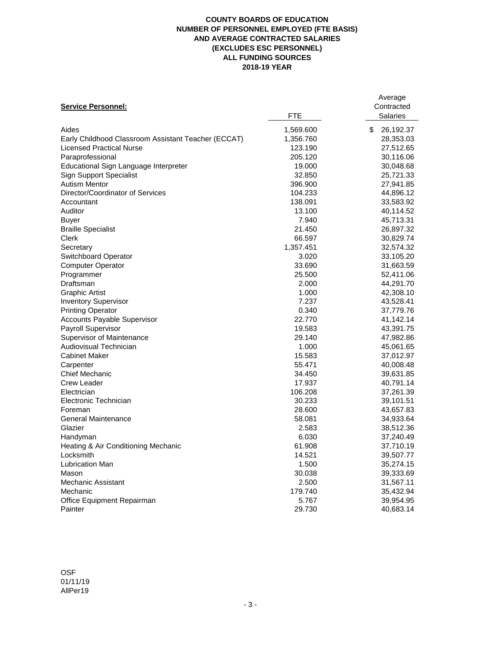### **COUNTY BOARDS OF EDUCATION NUMBER OF PERSONNEL EMPLOYED (FTE BASIS) AND AVERAGE CONTRACTED SALARIES (EXCLUDES ESC PERSONNEL) ALL FUNDING SOURCES 2018-19 YEAR**

|                                                     |           | Average<br>Contracted |
|-----------------------------------------------------|-----------|-----------------------|
| <b>Service Personnel:</b>                           | FTE       | <b>Salaries</b>       |
|                                                     |           |                       |
| Aides                                               | 1,569.600 | \$<br>26,192.37       |
| Early Childhood Classroom Assistant Teacher (ECCAT) | 1,356.760 | 28,353.03             |
| <b>Licensed Practical Nurse</b>                     | 123.190   | 27,512.65             |
| Paraprofessional                                    | 205.120   | 30,116.06             |
| Educational Sign Language Interpreter               | 19.000    | 30,048.68             |
| <b>Sign Support Specialist</b>                      | 32.850    | 25,721.33             |
| <b>Autism Mentor</b>                                | 396.900   | 27,941.85             |
| Director/Coordinator of Services                    | 104.233   | 44,896.12             |
| Accountant                                          | 138.091   | 33,583.92             |
| Auditor                                             | 13.100    | 40,114.52             |
| <b>Buyer</b>                                        | 7.940     | 45,713.31             |
| <b>Braille Specialist</b>                           | 21.450    | 26,897.32             |
| Clerk                                               | 66.597    | 30,829.74             |
| Secretary                                           | 1,357.451 | 32,574.32             |
| <b>Switchboard Operator</b>                         | 3.020     | 33,105.20             |
| <b>Computer Operator</b>                            | 33.690    | 31,663.59             |
| Programmer                                          | 25.500    | 52,411.06             |
| Draftsman                                           | 2.000     | 44,291.70             |
| <b>Graphic Artist</b>                               | 1.000     | 42,308.10             |
| <b>Inventory Supervisor</b>                         | 7.237     | 43,528.41             |
| <b>Printing Operator</b>                            | 0.340     | 37,779.76             |
| Accounts Payable Supervisor                         | 22.770    | 41,142.14             |
| Payroll Supervisor                                  | 19.583    | 43,391.75             |
| Supervisor of Maintenance                           | 29.140    | 47,982.86             |
| Audiovisual Technician                              | 1.000     | 45,061.65             |
| <b>Cabinet Maker</b>                                | 15.583    | 37,012.97             |
| Carpenter                                           | 55.471    | 40,008.48             |
| <b>Chief Mechanic</b>                               | 34.450    | 39,631.85             |
| Crew Leader                                         | 17.937    | 40,791.14             |
| Electrician                                         | 106.208   | 37,261.39             |
| Electronic Technician                               | 30.233    | 39,101.51             |
| Foreman                                             | 28.600    | 43,657.83             |
| General Maintenance                                 | 58.081    | 34,933.64             |
| Glazier                                             | 2.583     | 38,512.36             |
| Handyman                                            | 6.030     | 37,240.49             |
| Heating & Air Conditioning Mechanic                 | 61.908    | 37,710.19             |
| Locksmith                                           | 14.521    | 39,507.77             |
| Lubrication Man                                     | 1.500     | 35,274.15             |
| Mason                                               | 30.038    | 39,333.69             |
| Mechanic Assistant                                  | 2.500     | 31,567.11             |
| Mechanic                                            | 179.740   | 35,432.94             |
| Office Equipment Repairman                          | 5.767     | 39,954.95             |
| Painter                                             | 29.730    | 40,683.14             |